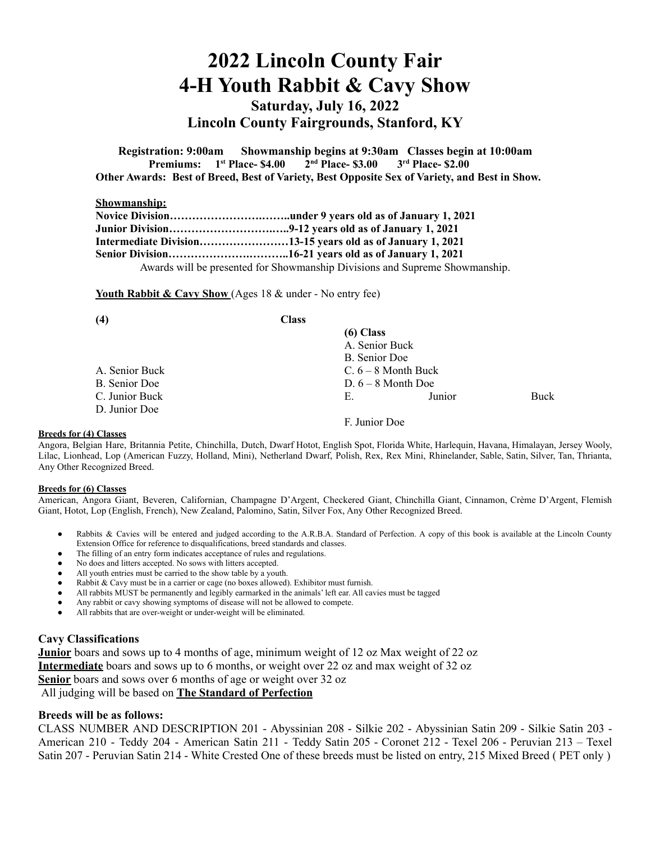# **2022 Lincoln County Fair 4-H Youth Rabbit & Cavy Show**

**Saturday, July 16, 2022 Lincoln County Fairgrounds, Stanford, KY**

**Registration: 9:00am Showmanship begins at 9:30am Classes begin at 10:00am Premiums: 1st Place- \$4.00 2 nd Place- \$3.00 3rd Place- \$2.00 Other Awards: Best of Breed, Best of Variety, Best Opposite Sex of Variety, and Best in Show.**

### **Showmanship:**

| Intermediate Division13-15 years old as of January 1, 2021                  |
|-----------------------------------------------------------------------------|
|                                                                             |
| Awards will be presented for Showmanship Divisions and Supreme Showmanship. |

Youth Rabbit & Cavy Show (Ages 18 & under - No entry fee)

| (4)            | <b>Class</b> |                       |        |      |
|----------------|--------------|-----------------------|--------|------|
|                |              | (6) Class             |        |      |
|                |              | A. Senior Buck        |        |      |
|                |              | B. Senior Doe         |        |      |
| A. Senior Buck |              | $C. 6 - 8$ Month Buck |        |      |
| B. Senior Doe  |              | $D. 6 - 8$ Month Doe  |        |      |
| C. Junior Buck |              | Е.                    | Junior | Buck |
| D. Junior Doe  |              |                       |        |      |
|                |              | F. Junior Doe         |        |      |

#### **Breeds for (4) Classes**

Angora, Belgian Hare, Britannia Petite, Chinchilla, Dutch, Dwarf Hotot, English Spot, Florida White, Harlequin, Havana, Himalayan, Jersey Wooly, Lilac, Lionhead, Lop (American Fuzzy, Holland, Mini), Netherland Dwarf, Polish, Rex, Rex Mini, Rhinelander, Sable, Satin, Silver, Tan, Thrianta, Any Other Recognized Breed.

#### **Breeds for (6) Classes**

American, Angora Giant, Beveren, Californian, Champagne D'Argent, Checkered Giant, Chinchilla Giant, Cinnamon, Crème D'Argent, Flemish Giant, Hotot, Lop (English, French), New Zealand, Palomino, Satin, Silver Fox, Any Other Recognized Breed.

- Rabbits & Cavies will be entered and judged according to the A.R.B.A. Standard of Perfection. A copy of this book is available at the Lincoln County Extension Office for reference to disqualifications, breed standards and classes.
- The filling of an entry form indicates acceptance of rules and regulations.
- No does and litters accepted. No sows with litters accepted.
- All youth entries must be carried to the show table by a youth.
- Rabbit  $&$  Cavy must be in a carrier or cage (no boxes allowed). Exhibitor must furnish.
- All rabbits MUST be permanently and legibly earmarked in the animals' left ear. All cavies must be tagged
- Any rabbit or cavy showing symptoms of disease will not be allowed to compete.
- All rabbits that are over-weight or under-weight will be eliminated.

## **Cavy Classifications**

**Junior** boars and sows up to 4 months of age, minimum weight of 12 oz Max weight of 22 oz **Intermediate** boars and sows up to 6 months, or weight over 22 oz and max weight of 32 oz **Senior** boars and sows over 6 months of age or weight over 32 oz

All judging will be based on **The Standard of Perfection**

## **Breeds will be as follows:**

CLASS NUMBER AND DESCRIPTION 201 - Abyssinian 208 - Silkie 202 - Abyssinian Satin 209 - Silkie Satin 203 - American 210 - Teddy 204 - American Satin 211 - Teddy Satin 205 - Coronet 212 - Texel 206 - Peruvian 213 – Texel Satin 207 - Peruvian Satin 214 - White Crested One of these breeds must be listed on entry, 215 Mixed Breed ( PET only )